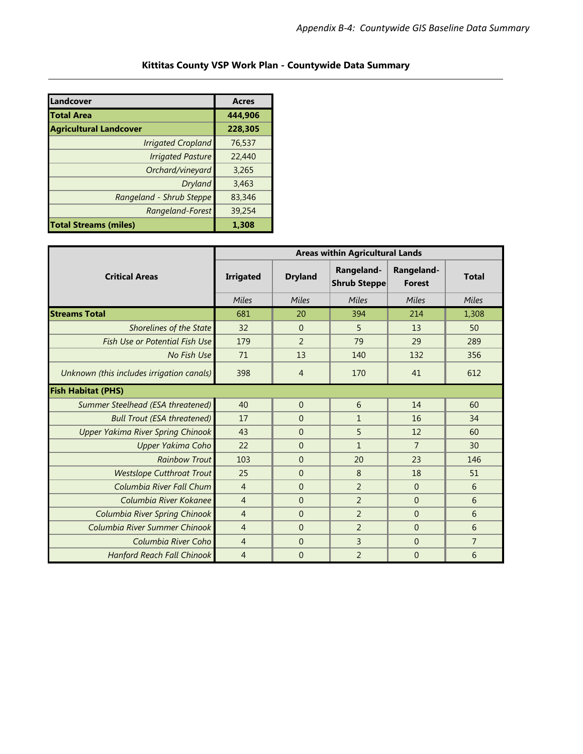| Kittitas County VSP Work Plan - Countywide Data Summary |  |
|---------------------------------------------------------|--|
|                                                         |  |

| Landcover                     | <b>Acres</b> |
|-------------------------------|--------------|
| <b>Total Area</b>             | 444.906      |
| <b>Agricultural Landcover</b> | 228,305      |
| <b>Irrigated Cropland</b>     | 76,537       |
| <b>Irrigated Pasture</b>      | 22,440       |
| Orchard/vineyard              | 3,265        |
| Dryland                       | 3,463        |
| Rangeland - Shrub Steppe      | 83,346       |
| Rangeland-Forest              | 39,254       |
| <b>Total Streams (miles)</b>  | 1.308        |

|                                           | <b>Areas within Agricultural Lands</b> |                |                                   |                             |                |
|-------------------------------------------|----------------------------------------|----------------|-----------------------------------|-----------------------------|----------------|
| <b>Critical Areas</b>                     | <b>Irrigated</b>                       | <b>Dryland</b> | Rangeland-<br><b>Shrub Steppe</b> | Rangeland-<br><b>Forest</b> | <b>Total</b>   |
|                                           | Miles                                  | Miles          | Miles                             | Miles                       | Miles          |
| <b>Streams Total</b>                      | 681                                    | 20             | 394                               | 214                         | 1,308          |
| <b>Shorelines of the State</b>            | 32                                     | $\Omega$       | 5                                 | 13                          | 50             |
| <b>Fish Use or Potential Fish Use</b>     | 179                                    | $\mathfrak{D}$ | 79                                | 29                          | 289            |
| No Fish Use                               | 71                                     | 13             | 140                               | 132                         | 356            |
| Unknown (this includes irrigation canals) | 398                                    | $\overline{4}$ | 170                               | 41                          | 612            |
| <b>Fish Habitat (PHS)</b>                 |                                        |                |                                   |                             |                |
| Summer Steelhead (ESA threatened)         | 40                                     | $\Omega$       | 6                                 | 14                          | 60             |
| <b>Bull Trout (ESA threatened)</b>        | 17                                     | $\mathbf{0}$   | $\mathbf{1}$                      | 16                          | 34             |
| Upper Yakima River Spring Chinook         | 43                                     | $\Omega$       | 5                                 | 12                          | 60             |
| Upper Yakima Coho                         | 22                                     | $\Omega$       | $\mathbf{1}$                      | $\overline{7}$              | 30             |
| <b>Rainbow Trout</b>                      | 103                                    | $\Omega$       | 20                                | 23                          | 146            |
| <b>Westslope Cutthroat Trout</b>          | 25                                     | $\mathbf{0}$   | 8                                 | 18                          | 51             |
| Columbia River Fall Chum                  | $\overline{4}$                         | $\Omega$       | $\overline{2}$                    | $\Omega$                    | 6              |
| Columbia River Kokanee                    | $\overline{4}$                         | $\overline{0}$ | $\overline{2}$                    | $\overline{0}$              | 6              |
| Columbia River Spring Chinook             | $\overline{4}$                         | $\Omega$       | $\overline{2}$                    | $\Omega$                    | 6              |
| Columbia River Summer Chinook             | $\overline{4}$                         | $\Omega$       | $\overline{\phantom{0}}$          | $\Omega$                    | 6              |
| Columbia River Coho                       | $\overline{4}$                         | $\overline{0}$ | 3                                 | $\overline{0}$              | $\overline{7}$ |
| <b>Hanford Reach Fall Chinook</b>         | $\overline{4}$                         | $\overline{0}$ | $\overline{2}$                    | $\overline{0}$              | 6              |